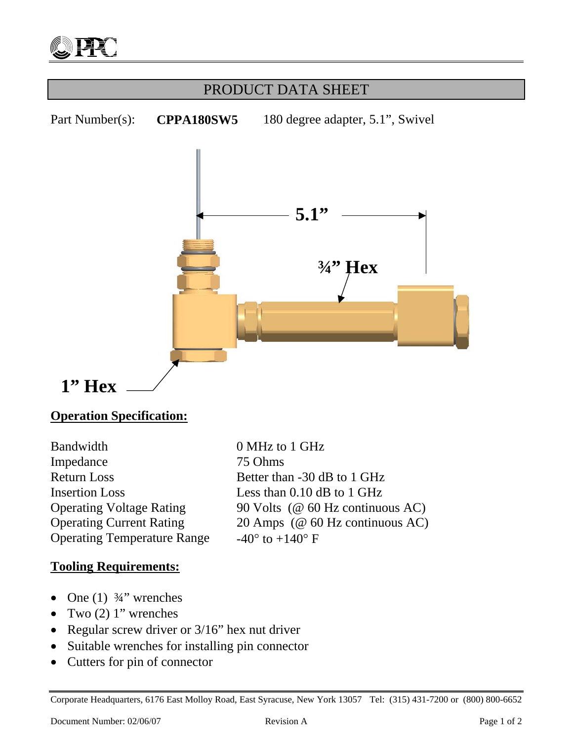

## PRODUCT DATA SHEET

Part Number(s): **CPPA180SW5** 180 degree adapter, 5.1", Swivel



### **Operation Specification:**

Bandwidth 0 MHz to 1 GHz Impedance 75 Ohms Return Loss Better than -30 dB to 1 GHz Insertion Loss Less than 0.10 dB to 1 GHz Operating Temperature Range  $-40^{\circ}$  to  $+140^{\circ}$  F

# Operating Voltage Rating 90 Volts (@ 60 Hz continuous AC) Operating Current Rating 20 Amps (@ 60 Hz continuous AC)

#### **Tooling Requirements:**

- One  $(1)$   $\frac{3}{4}$ " wrenches
- Two  $(2)$  1" wrenches
- Regular screw driver or 3/16" hex nut driver
- Suitable wrenches for installing pin connector
- Cutters for pin of connector

Corporate Headquarters, 6176 East Molloy Road, East Syracuse, New York 13057 Tel: (315) 431-7200 or (800) 800-6652